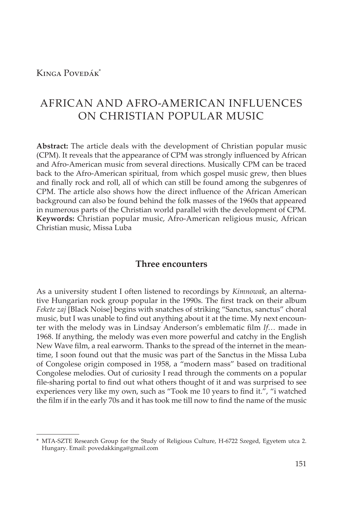Kinga Povedák\*

# AFRICAN AND AFRO-AMERICAN INFLUENCES ON CHRISTIAN POPULAR MUSIC

**Abstract:** The article deals with the development of Christian popular music (CPM). It reveals that the appearance of CPM was strongly influenced by African and Afro-American music from several directions. Musically CPM can be traced back to the Afro-American spiritual, from which gospel music grew, then blues and finally rock and roll, all of which can still be found among the subgenres of CPM. The article also shows how the direct influence of the African American background can also be found behind the folk masses of the 1960s that appeared in numerous parts of the Christian world parallel with the development of CPM. **Keywords:** Christian popular music, Afro-American religious music, African Christian music, Missa Luba

### **Three encounters**

As a university student I often listened to recordings by *Kimnowak*, an alternative Hungarian rock group popular in the 1990s. The first track on their album *Fekete zaj* [Black Noise] begins with snatches of striking "Sanctus, sanctus" choral music, but I was unable to find out anything about it at the time. My next encounter with the melody was in Lindsay Anderson's emblematic film *If…* made in 1968. If anything, the melody was even more powerful and catchy in the English New Wave film, a real earworm. Thanks to the spread of the internet in the meantime, I soon found out that the music was part of the Sanctus in the Missa Luba of Congolese origin composed in 1958, a "modern mass" based on traditional Congolese melodies. Out of curiosity I read through the comments on a popular file-sharing portal to find out what others thought of it and was surprised to see experiences very like my own, such as "Took me 10 years to find it.", "i watched the film if in the early 70s and it has took me till now to find the name of the music

<sup>\*</sup> MTA-SZTE Research Group for the Study of Religious Culture, H-6722 Szeged, Egyetem utca 2. Hungary. Email: povedakkinga@gmail.com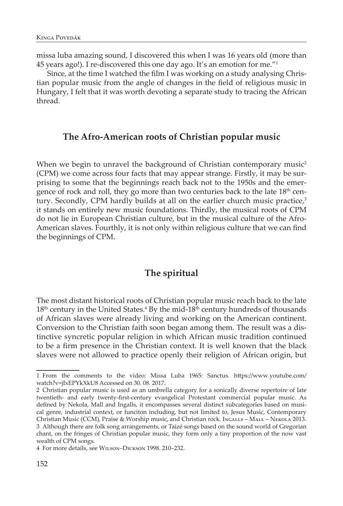missa luba amazing sound, I discovered this when I was 16 years old (more than 45 years ago!). I re-discovered this one day ago. It's an emotion for me."1

Since, at the time I watched the film I was working on a study analysing Christian popular music from the angle of changes in the field of religious music in Hungary, I felt that it was worth devoting a separate study to tracing the African thread.

### **The Afro-American roots of Christian popular music**

When we begin to unravel the background of Christian contemporary music<sup>2</sup> (CPM) we come across four facts that may appear strange. Firstly, it may be surprising to some that the beginnings reach back not to the 1950s and the emergence of rock and roll, they go more than two centuries back to the late 18<sup>th</sup> century. Secondly, CPM hardly builds at all on the earlier church music practice, $3$ it stands on entirely new music foundations. Thirdly, the musical roots of CPM do not lie in European Christian culture, but in the musical culture of the Afro-American slaves. Fourthly, it is not only within religious culture that we can find the beginnings of CPM.

## **The spiritual**

The most distant historical roots of Christian popular music reach back to the late  $18<sup>th</sup>$  century in the United States.<sup>4</sup> By the mid- $18<sup>th</sup>$  century hundreds of thousands of African slaves were already living and working on the American continent. Conversion to the Christian faith soon began among them. The result was a distinctive syncretic popular religion in which African music tradition continued to be a firm presence in the Christian context. It is well known that the black slaves were not allowed to practice openly their religion of African origin, but

<sup>1</sup> From the comments to the video: Missa Luba 1965: Sanctus. https://www.youtube.com/ watch?v=jIxEPYkXkU8 Accessed on 30. 08. 2017.

<sup>2</sup> Christian popular music is used as an umbrella category for a sonically diverse repertoire of late twentieth- and early twenty-first-century evangelical Protestant commercial popular music. As defined by Nekola, Mall and Ingalls, it encompasses several distinct subcategories based on musical genre, industrial context, or funciton including, but not limited to, Jesus Music, Contemporary Christian Music (CCM), Praise & Worship music, and Christian rock. Ingalls – Mall – Nekola 2013. 3 Although there are folk song arrangements, or Taizé songs based on the sound world of Gregorian chant, on the fringes of Christian popular music, they form only a tiny proportion of the now vast wealth of CPM songs.

<sup>4</sup> For more details, see Wilson–Dickson 1998. 210–232.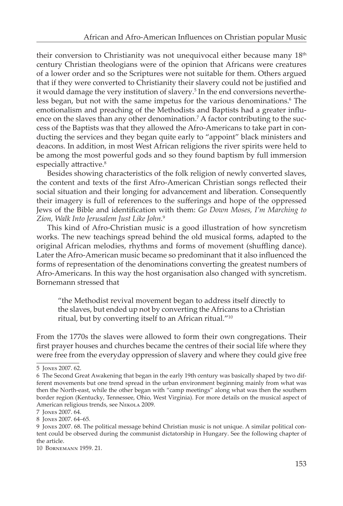their conversion to Christianity was not unequivocal either because many  $18<sup>th</sup>$ century Christian theologians were of the opinion that Africans were creatures of a lower order and so the Scriptures were not suitable for them. Others argued that if they were converted to Christianity their slavery could not be justified and it would damage the very institution of slavery.<sup>5</sup> In the end conversions nevertheless began, but not with the same impetus for the various denominations.<sup>6</sup> The emotionalism and preaching of the Methodists and Baptists had a greater influence on the slaves than any other denomination.<sup>7</sup> A factor contributing to the success of the Baptists was that they allowed the Afro-Americans to take part in conducting the services and they began quite early to "appoint" black ministers and deacons. In addition, in most West African religions the river spirits were held to be among the most powerful gods and so they found baptism by full immersion especially attractive.<sup>8</sup>

Besides showing characteristics of the folk religion of newly converted slaves, the content and texts of the first Afro-American Christian songs reflected their social situation and their longing for advancement and liberation. Consequently their imagery is full of references to the sufferings and hope of the oppressed Jews of the Bible and identification with them: *Go Down Moses, I'm Marching to Zion, Walk Into Jerusalem Just Like John.*<sup>9</sup>

This kind of Afro-Christian music is a good illustration of how syncretism works. The new teachings spread behind the old musical forms, adapted to the original African melodies, rhythms and forms of movement (shuffling dance). Later the Afro-American music became so predominant that it also influenced the forms of representation of the denominations converting the greatest numbers of Afro-Americans. In this way the host organisation also changed with syncretism. Bornemann stressed that

"the Methodist revival movement began to address itself directly to the slaves, but ended up not by converting the Africans to a Christian ritual, but by converting itself to an African ritual."10

From the 1770s the slaves were allowed to form their own congregations. Their first prayer houses and churches became the centres of their social life where they were free from the everyday oppression of slavery and where they could give free

<sup>5</sup> Jones 2007. 62.

<sup>6</sup> The Second Great Awakening that began in the early 19th century was basically shaped by two different movements but one trend spread in the urban environment beginning mainly from what was then the North-east, while the other began with "camp meetings" along what was then the southern border region (Kentucky, Tennessee, Ohio, West Virginia). For more details on the musical aspect of American religious trends, see NEKOLA 2009.

<sup>7</sup> Jones 2007. 64.

<sup>8</sup> Jones 2007. 64–65.

<sup>9</sup> Jones 2007. 68. The political message behind Christian music is not unique. A similar political content could be observed during the communist dictatorship in Hungary. See the following chapter of the article.

<sup>10</sup> Bornemann 1959. 21.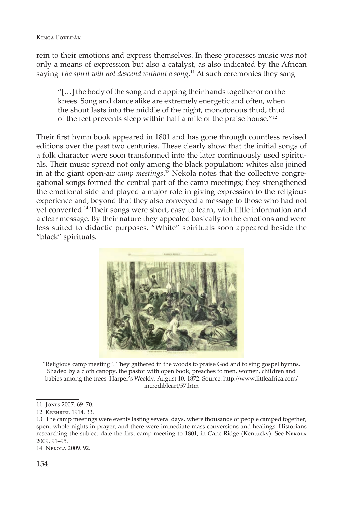rein to their emotions and express themselves. In these processes music was not only a means of expression but also a catalyst, as also indicated by the African saying *The spirit will not descend without a song*. 11 At such ceremonies they sang

"[…] the body of the song and clapping their hands together or on the knees. Song and dance alike are extremely energetic and often, when the shout lasts into the middle of the night, monotonous thud, thud of the feet prevents sleep within half a mile of the praise house."12

Their first hymn book appeared in 1801 and has gone through countless revised editions over the past two centuries. These clearly show that the initial songs of a folk character were soon transformed into the later continuously used spirituals. Their music spread not only among the black population: whites also joined in at the giant open-air *camp meetings*. 13 Nekola notes that the collective congregational songs formed the central part of the camp meetings; they strengthened the emotional side and played a major role in giving expression to the religious experience and, beyond that they also conveyed a message to those who had not yet converted.14 Their songs were short, easy to learn, with little information and a clear message. By their nature they appealed basically to the emotions and were less suited to didactic purposes. "White" spirituals soon appeared beside the "black" spirituals.



"Religious camp meeting". They gathered in the woods to praise God and to sing gospel hymns. Shaded by a cloth canopy, the pastor with open book, preaches to men, women, children and babies among the trees. Harper's Weekly, August 10, 1872. Source: http://www.littleafrica.com/ incredibleart/57.htm

14 Nekola 2009. 92.

<sup>11</sup> Jones 2007. 69–70.

<sup>12</sup> Krehbiel 1914. 33.

<sup>13</sup> The camp meetings were events lasting several days, where thousands of people camped together, spent whole nights in prayer, and there were immediate mass conversions and healings. Historians researching the subject date the first camp meeting to 1801, in Cane Ridge (Kentucky). See Nekola 2009. 91–95.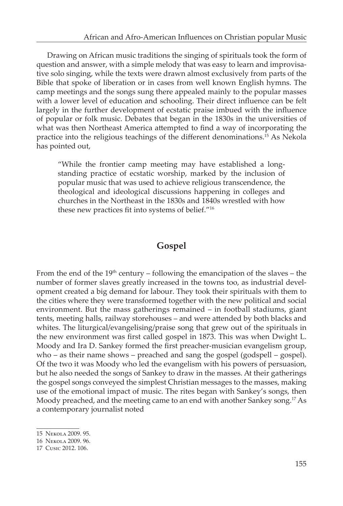Drawing on African music traditions the singing of spirituals took the form of question and answer, with a simple melody that was easy to learn and improvisative solo singing, while the texts were drawn almost exclusively from parts of the Bible that spoke of liberation or in cases from well known English hymns. The camp meetings and the songs sung there appealed mainly to the popular masses with a lower level of education and schooling. Their direct influence can be felt largely in the further development of ecstatic praise imbued with the influence of popular or folk music. Debates that began in the 1830s in the universities of what was then Northeast America attempted to find a way of incorporating the practice into the religious teachings of the different denominations.15 As Nekola has pointed out,

"While the frontier camp meeting may have established a longstanding practice of ecstatic worship, marked by the inclusion of popular music that was used to achieve religious transcendence, the theological and ideological discussions happening in colleges and churches in the Northeast in the 1830s and 1840s wrestled with how these new practices fit into systems of belief."<sup>16</sup>

# **Gospel**

From the end of the  $19<sup>th</sup>$  century – following the emancipation of the slaves – the number of former slaves greatly increased in the towns too, as industrial development created a big demand for labour. They took their spirituals with them to the cities where they were transformed together with the new political and social environment. But the mass gatherings remained – in football stadiums, giant tents, meeting halls, railway storehouses – and were attended by both blacks and whites. The liturgical/evangelising/praise song that grew out of the spirituals in the new environment was first called gospel in 1873. This was when Dwight L. Moody and Ira D. Sankey formed the first preacher-musician evangelism group, who – as their name shows – preached and sang the gospel (godspell – gospel). Of the two it was Moody who led the evangelism with his powers of persuasion, but he also needed the songs of Sankey to draw in the masses. At their gatherings the gospel songs conveyed the simplest Christian messages to the masses, making use of the emotional impact of music. The rites began with Sankey's songs, then Moody preached, and the meeting came to an end with another Sankey song.<sup>17</sup> As a contemporary journalist noted

<sup>15</sup> Nekola 2009. 95.

<sup>16</sup> Nekola 2009. 96.

<sup>17</sup> Cusic 2012. 106.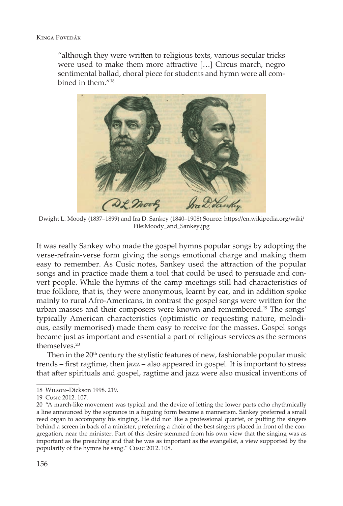"although they were written to religious texts, various secular tricks were used to make them more attractive […] Circus march, negro sentimental ballad, choral piece for students and hymn were all combined in them."18



Dwight L. Moody (1837–1899) and Ira D. Sankey (1840–1908) Source: https://en.wikipedia.org/wiki/ File:Moody\_and\_Sankey.jpg

It was really Sankey who made the gospel hymns popular songs by adopting the verse-refrain-verse form giving the songs emotional charge and making them easy to remember. As Cusic notes, Sankey used the attraction of the popular songs and in practice made them a tool that could be used to persuade and convert people. While the hymns of the camp meetings still had characteristics of true folklore, that is, they were anonymous, learnt by ear, and in addition spoke mainly to rural Afro-Americans, in contrast the gospel songs were written for the urban masses and their composers were known and remembered.19 The songs' typically American characteristics (optimistic or requesting nature, melodious, easily memorised) made them easy to receive for the masses. Gospel songs became just as important and essential a part of religious services as the sermons themselves.20

Then in the  $20<sup>th</sup>$  century the stylistic features of new, fashionable popular music trends – first ragtime, then jazz – also appeared in gospel. It is important to stress that after spirituals and gospel, ragtime and jazz were also musical inventions of

<sup>18</sup> Wilson–Dickson 1998. 219.

<sup>19</sup> Cusic 2012. 107.

<sup>20 &</sup>quot;A march-like movement was typical and the device of letting the lower parts echo rhythmically a line announced by the sopranos in a fuguing form became a mannerism. Sankey preferred a small reed organ to accompany his singing. He did not like a professional quartet, or putting the singers behind a screen in back of a minister, preferring a choir of the best singers placed in front of the congregation, near the minister. Part of this desire stemmed from his own view that the singing was as important as the preaching and that he was as important as the evangelist, a view supported by the popularity of the hymns he sang." Cusic 2012. 108.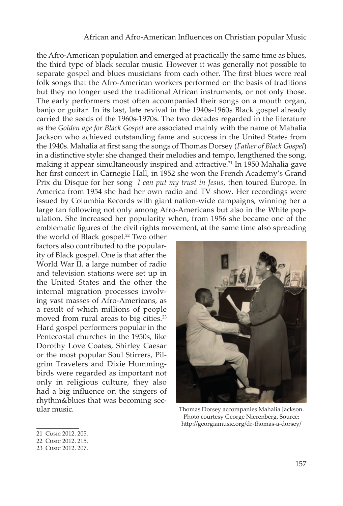the Afro-American population and emerged at practically the same time as blues, the third type of black secular music. However it was generally not possible to separate gospel and blues musicians from each other. The first blues were real folk songs that the Afro-American workers performed on the basis of traditions but they no longer used the traditional African instruments, or not only those. The early performers most often accompanied their songs on a mouth organ, banjo or guitar. In its last, late revival in the 1940s-1960s Black gospel already carried the seeds of the 1960s-1970s. The two decades regarded in the literature as the *Golden age for Black Gospel* are associated mainly with the name of Mahalia Jackson who achieved outstanding fame and success in the United States from the 1940s. Mahalia at first sang the songs of Thomas Dorsey (*Father of Black Gospel*) in a distinctive style: she changed their melodies and tempo, lengthened the song, making it appear simultaneously inspired and attractive.<sup>21</sup> In 1950 Mahalia gave her first concert in Carnegie Hall, in 1952 she won the French Academy's Grand Prix du Disque for her song *I can put my trust in Jesus*, then toured Europe. In America from 1954 she had her own radio and TV show. Her recordings were issued by Columbia Records with giant nation-wide campaigns, winning her a large fan following not only among Afro-Americans but also in the White population. She increased her popularity when, from 1956 she became one of the emblematic figures of the civil rights movement, at the same time also spreading

the world of Black gospel.<sup>22</sup> Two other factors also contributed to the popularity of Black gospel. One is that after the World War II. a large number of radio and television stations were set up in the United States and the other the internal migration processes involving vast masses of Afro-Americans, as a result of which millions of people moved from rural areas to big cities.<sup>23</sup> Hard gospel performers popular in the Pentecostal churches in the 1950s, like Dorothy Love Coates, Shirley Caesar or the most popular Soul Stirrers, Pilgrim Travelers and Dixie Hummingbirds were regarded as important not only in religious culture, they also had a big influence on the singers of rhythm&blues that was becoming secular music.



Thomas Dorsey accompanies Mahalia Jackson. Photo courtesy George Nierenberg. Source: http://georgiamusic.org/dr-thomas-a-dorsey/

- 21 Cusic 2012. 205.
- 22 Cusic 2012. 215.
- 23 Cusic 2012. 207.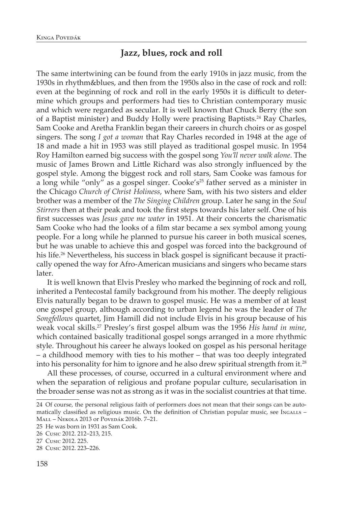# **Jazz, blues, rock and roll**

The same intertwining can be found from the early 1910s in jazz music, from the 1930s in rhythm&blues, and then from the 1950s also in the case of rock and roll: even at the beginning of rock and roll in the early 1950s it is difficult to determine which groups and performers had ties to Christian contemporary music and which were regarded as secular. It is well known that Chuck Berry (the son of a Baptist minister) and Buddy Holly were practising Baptists.<sup>24</sup> Ray Charles, Sam Cooke and Aretha Franklin began their careers in church choirs or as gospel singers. The song *I got a woman* that Ray Charles recorded in 1948 at the age of 18 and made a hit in 1953 was still played as traditional gospel music. In 1954 Roy Hamilton earned big success with the gospel song *You'll never walk alone*. The music of James Brown and Little Richard was also strongly influenced by the gospel style. Among the biggest rock and roll stars, Sam Cooke was famous for a long while "only" as a gospel singer. Cooke's<sup>25</sup> father served as a minister in the Chicago *Church of Christ Holiness*, where Sam, with his two sisters and elder brother was a member of the *The Singing Children* group. Later he sang in the *Soul Stirrers* then at their peak and took the first steps towards his later self. One of his first successes was *Jesus gave me water* in 1951. At their concerts the charismatic Sam Cooke who had the looks of a film star became a sex symbol among young people. For a long while he planned to pursue his career in both musical scenes, but he was unable to achieve this and gospel was forced into the background of his life.<sup>26</sup> Nevertheless, his success in black gospel is significant because it practically opened the way for Afro-American musicians and singers who became stars later.

It is well known that Elvis Presley who marked the beginning of rock and roll, inherited a Pentecostal family background from his mother. The deeply religious Elvis naturally began to be drawn to gospel music. He was a member of at least one gospel group, although according to urban legend he was the leader of *The Songfellows* quartet, Jim Hamill did not include Elvis in his group because of his weak vocal skills.<sup>27</sup> Presley's first gospel album was the 1956 *His hand in mine*, which contained basically traditional gospel songs arranged in a more rhythmic style. Throughout his career he always looked on gospel as his personal heritage – a childhood memory with ties to his mother – that was too deeply integrated into his personality for him to ignore and he also drew spiritual strength from it.<sup>28</sup>

All these processes, of course, occurred in a cultural environment where and when the separation of religious and profane popular culture, secularisation in the broader sense was not as strong as it was in the socialist countries at that time.

<sup>24</sup> Of course, the personal religious faith of performers does not mean that their songs can be automatically classified as religious music. On the definition of Christian popular music, see Ingalls -Mall – Nekola 2013 or Povedák 2016b. 7–21.

<sup>25</sup> He was born in 1931 as Sam Cook.

<sup>26</sup> Cusic 2012. 212–213, 215.

<sup>27</sup> Cusic 2012. 225.

<sup>28</sup> Cusic 2012. 223–226.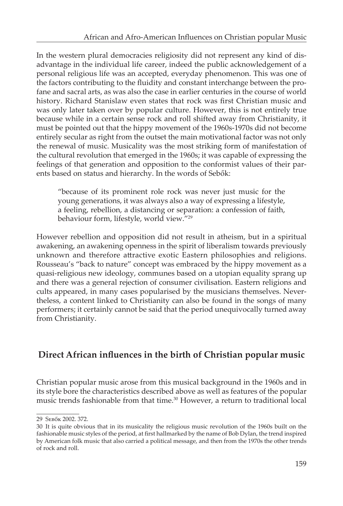In the western plural democracies religiosity did not represent any kind of disadvantage in the individual life career, indeed the public acknowledgement of a personal religious life was an accepted, everyday phenomenon. This was one of the factors contributing to the fluidity and constant interchange between the profane and sacral arts, as was also the case in earlier centuries in the course of world history. Richard Stanislaw even states that rock was first Christian music and was only later taken over by popular culture. However, this is not entirely true because while in a certain sense rock and roll shifted away from Christianity, it must be pointed out that the hippy movement of the 1960s-1970s did not become entirely secular as right from the outset the main motivational factor was not only the renewal of music. Musicality was the most striking form of manifestation of the cultural revolution that emerged in the 1960s; it was capable of expressing the feelings of that generation and opposition to the conformist values of their parents based on status and hierarchy. In the words of Sebők:

"because of its prominent role rock was never just music for the young generations, it was always also a way of expressing a lifestyle, a feeling, rebellion, a distancing or separation: a confession of faith, behaviour form, lifestyle, world view."29

However rebellion and opposition did not result in atheism, but in a spiritual awakening, an awakening openness in the spirit of liberalism towards previously unknown and therefore attractive exotic Eastern philosophies and religions. Rousseau's "back to nature" concept was embraced by the hippy movement as a quasi-religious new ideology, communes based on a utopian equality sprang up and there was a general rejection of consumer civilisation. Eastern religions and cults appeared, in many cases popularised by the musicians themselves. Nevertheless, a content linked to Christianity can also be found in the songs of many performers; it certainly cannot be said that the period unequivocally turned away from Christianity.

# **Direct African influences in the birth of Christian popular music**

Christian popular music arose from this musical background in the 1960s and in its style bore the characteristics described above as well as features of the popular music trends fashionable from that time.30 However, a return to traditional local

<sup>29</sup> Sebők 2002. 372.

<sup>30</sup> It is quite obvious that in its musicality the religious music revolution of the 1960s built on the fashionable music styles of the period, at first hallmarked by the name of Bob Dylan, the trend inspired by American folk music that also carried a political message, and then from the 1970s the other trends of rock and roll.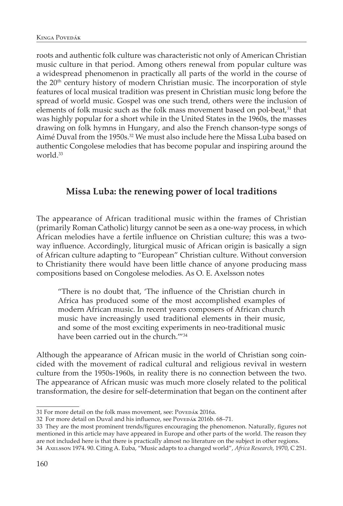roots and authentic folk culture was characteristic not only of American Christian music culture in that period. Among others renewal from popular culture was a widespread phenomenon in practically all parts of the world in the course of the 20<sup>th</sup> century history of modern Christian music. The incorporation of style features of local musical tradition was present in Christian music long before the spread of world music. Gospel was one such trend, others were the inclusion of elements of folk music such as the folk mass movement based on pol-beat, $31$  that was highly popular for a short while in the United States in the 1960s, the masses drawing on folk hymns in Hungary, and also the French chanson-type songs of Aimé Duval from the 1950s.<sup>32</sup> We must also include here the Missa Luba based on authentic Congolese melodies that has become popular and inspiring around the world.<sup>33</sup>

# **Missa Luba: the renewing power of local traditions**

The appearance of African traditional music within the frames of Christian (primarily Roman Catholic) liturgy cannot be seen as a one-way process, in which African melodies have a fertile influence on Christian culture; this was a twoway influence. Accordingly, liturgical music of African origin is basically a sign of African culture adapting to "European" Christian culture. Without conversion to Christianity there would have been little chance of anyone producing mass compositions based on Congolese melodies. As O. E. Axelsson notes

"There is no doubt that, 'The influence of the Christian church in Africa has produced some of the most accomplished examples of modern African music. In recent years composers of African church music have increasingly used traditional elements in their music, and some of the most exciting experiments in neo-traditional music have been carried out in the church.<sup>""34</sup>

Although the appearance of African music in the world of Christian song coincided with the movement of radical cultural and religious revival in western culture from the 1950s-1960s, in reality there is no connection between the two. The appearance of African music was much more closely related to the political transformation, the desire for self-determination that began on the continent after

<sup>31</sup> For more detail on the folk mass movement, see: PovEDÁK 2016a.

<sup>32</sup> For more detail on Duval and his influence, see PoveDÁK 2016b. 68-71.

<sup>33</sup> They are the most prominent trends/figures encouraging the phenomenon. Naturally, figures not mentioned in this article may have appeared in Europe and other parts of the world. The reason they are not included here is that there is practically almost no literature on the subject in other regions.

<sup>34</sup> Axelsson 1974. 90. Citing A. Euba, "Music adapts to a changed world", *Africa Research,* 1970, C 251.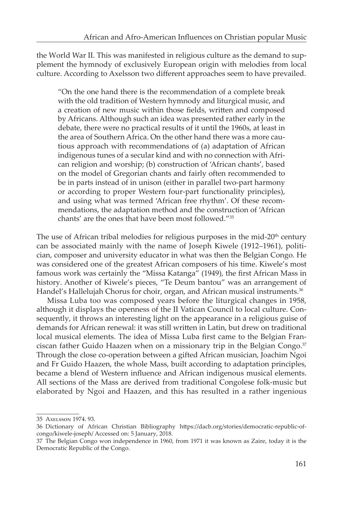the World War II. This was manifested in religious culture as the demand to supplement the hymnody of exclusively European origin with melodies from local culture. According to Axelsson two different approaches seem to have prevailed.

"On the one hand there is the recommendation of a complete break with the old tradition of Western hymnody and liturgical music, and a creation of new music within those fields, written and composed by Africans. Although such an idea was presented rather early in the debate, there were no practical results of it until the 1960s, at least in the area of Southern Africa. On the other hand there was a more cautious approach with recommendations of (a) adaptation of African indigenous tunes of a secular kind and with no connection with African religion and worship; (b) construction of 'African chants', based on the model of Gregorian chants and fairly often recommended to be in parts instead of in unison (either in parallel two-part harmony or according to proper Western four-part functionality principles), and using what was termed 'African free rhythm'. Of these recommendations, the adaptation method and the construction of 'African chants' are the ones that have been most followed."35

The use of African tribal melodies for religious purposes in the mid- $20<sup>th</sup>$  century can be associated mainly with the name of Joseph Kiwele (1912–1961), politician, composer and university educator in what was then the Belgian Congo. He was considered one of the greatest African composers of his time. Kiwele's most famous work was certainly the "Missa Katanga" (1949), the first African Mass in history. Another of Kiwele's pieces, "Te Deum bantou" was an arrangement of Handel's Hallelujah Chorus for choir, organ, and African musical instruments.<sup>36</sup>

Missa Luba too was composed years before the liturgical changes in 1958, although it displays the openness of the II Vatican Council to local culture. Consequently, it throws an interesting light on the appearance in a religious guise of demands for African renewal: it was still written in Latin, but drew on traditional local musical elements. The idea of Missa Luba first came to the Belgian Franciscan father Guido Haazen when on a missionary trip in the Belgian Congo.<sup>37</sup> Through the close co-operation between a gifted African musician, Joachim Ngoi and Fr Guido Haazen, the whole Mass, built according to adaptation principles, became a blend of Western influence and African indigenous musical elements. All sections of the Mass are derived from traditional Congolese folk-music but elaborated by Ngoi and Haazen, and this has resulted in a rather ingenious

<sup>35</sup> Axelsson 1974. 93.

<sup>36</sup> Dictionary of African Christian Bibliography https://dacb.org/stories/democratic-republic-ofcongo/kiwele-joseph/ Accessed on: 5 January, 2018.

<sup>37</sup> The Belgian Congo won independence in 1960, from 1971 it was known as Zaire, today it is the Democratic Republic of the Congo.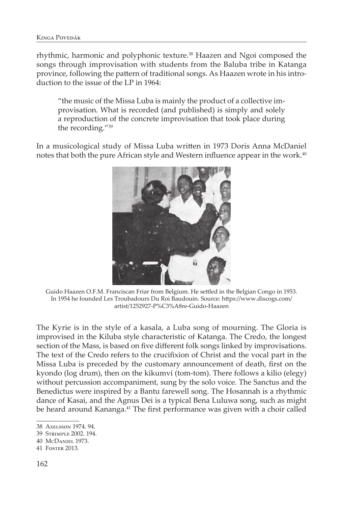rhythmic, harmonic and polyphonic texture.<sup>38</sup> Haazen and Ngoi composed the songs through improvisation with students from the Baluba tribe in Katanga province, following the pattern of traditional songs. As Haazen wrote in his introduction to the issue of the LP in 1964:

"the music of the Missa Luba is mainly the product of a collective improvisation. What is recorded (and published) is simply and solely a reproduction of the concrete improvisation that took place during the recording."39

In a musicological study of Missa Luba written in 1973 Doris Anna McDaniel notes that both the pure African style and Western influence appear in the work.<sup>40</sup>



Guido Haazen O.F.M. Franciscan Friar from Belgium. He settled in the Belgian Congo in 1953. In 1954 he founded Les Troubadours Du Roi Baudouin. Source: https://www.discogs.com/ artist/1252927-P%C3%A8re-Guido-Haazen

The Kyrie is in the style of a kasala, a Luba song of mourning. The Gloria is improvised in the Kiluba style characteristic of Katanga. The Credo, the longest section of the Mass, is based on five different folk songs linked by improvisations. The text of the Credo refers to the crucifixion of Christ and the vocal part in the Missa Luba is preceded by the customary announcement of death, first on the kyondo (log drum), then on the kikumvi (tom-tom). There follows a kilio (elegy) without percussion accompaniment, sung by the solo voice. The Sanctus and the Benedictus were inspired by a Bantu farewell song. The Hosannah is a rhythmic dance of Kasai, and the Agnus Dei is a typical Bena Luluwa song, such as might be heard around Kananga.<sup>41</sup> The first performance was given with a choir called

<sup>38</sup> Axelsson 1974. 94.

<sup>39</sup> Strimple 2002. 194.

<sup>40</sup> McDaniel 1973.

<sup>41</sup> Foster 2013.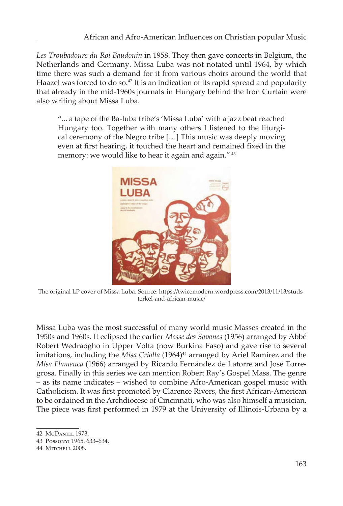*Les Troubadours du Roi Baudouin* in 1958. They then gave concerts in Belgium, the Netherlands and Germany. Missa Luba was not notated until 1964, by which time there was such a demand for it from various choirs around the world that Haazel was forced to do so.<sup>42</sup> It is an indication of its rapid spread and popularity that already in the mid-1960s journals in Hungary behind the Iron Curtain were also writing about Missa Luba.

"... a tape of the Ba-luba tribe's 'Missa Luba' with a jazz beat reached Hungary too. Together with many others I listened to the liturgical ceremony of the Negro tribe […] This music was deeply moving even at first hearing, it touched the heart and remained fixed in the memory: we would like to hear it again and again."<sup>43</sup>



The original LP cover of Missa Luba. Source: https://twicemodern.wordpress.com/2013/11/13/studsterkel-and-african-music/

Missa Luba was the most successful of many world music Masses created in the 1950s and 1960s. It eclipsed the earlier *Messe des Savanes* (1956) arranged by Abbé Robert Wedraogho in Upper Volta (now Burkina Faso) and gave rise to several imitations, including the Misa Criolla (1964)<sup>44</sup> arranged by Ariel Ramírez and the *Misa Flamenca* (1966) arranged by Ricardo Fernández de Latorre and José Torregrosa. Finally in this series we can mention Robert Ray's Gospel Mass. The genre – as its name indicates – wished to combine Afro-American gospel music with Catholicism. It was first promoted by Clarence Rivers, the first African-American to be ordained in the Archdiocese of Cincinnati, who was also himself a musician. The piece was first performed in 1979 at the University of Illinois-Urbana by a

<sup>42</sup> McDaniel 1973.

<sup>43</sup> Possonyi 1965. 633–634.

<sup>44</sup> Mitchell 2008.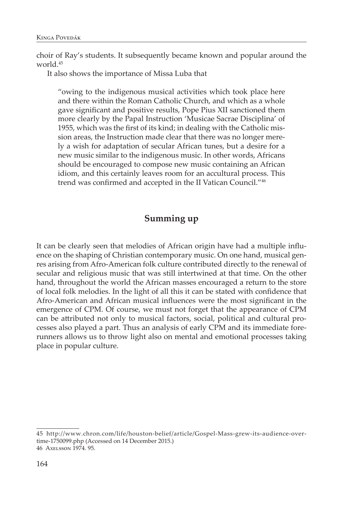choir of Ray's students. It subsequently became known and popular around the world.45

It also shows the importance of Missa Luba that

"owing to the indigenous musical activities which took place here and there within the Roman Catholic Church, and which as a whole gave significant and positive results, Pope Pius XII sanctioned them more clearly by the Papal Instruction 'Musicae Sacrae Disciplina' of 1955, which was the first of its kind; in dealing with the Catholic mission areas, the Instruction made clear that there was no longer merely a wish for adaptation of secular African tunes, but a desire for a new music similar to the indigenous music. In other words, Africans should be encouraged to compose new music containing an African idiom, and this certainly leaves room for an accultural process. This trend was confirmed and accepted in the II Vatican Council."<sup>46</sup>

## **Summing up**

It can be clearly seen that melodies of African origin have had a multiple influence on the shaping of Christian contemporary music. On one hand, musical genres arising from Afro-American folk culture contributed directly to the renewal of secular and religious music that was still intertwined at that time. On the other hand, throughout the world the African masses encouraged a return to the store of local folk melodies. In the light of all this it can be stated with confidence that Afro-American and African musical influences were the most significant in the emergence of CPM. Of course, we must not forget that the appearance of CPM can be attributed not only to musical factors, social, political and cultural processes also played a part. Thus an analysis of early CPM and its immediate forerunners allows us to throw light also on mental and emotional processes taking place in popular culture.

<sup>45</sup> http://www.chron.com/life/houston-belief/article/Gospel-Mass-grew-its-audience-overtime-1750099.php (Accessed on 14 December 2015.) 46 Axelsson 1974. 95.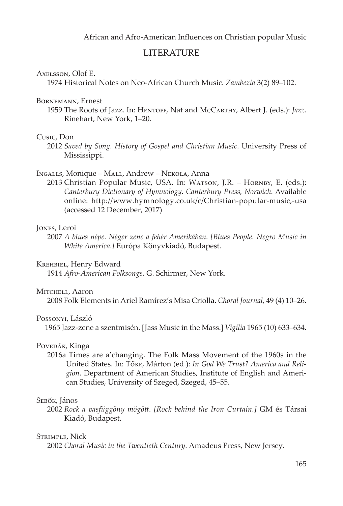### LITERATURE

#### Axelsson, Olof E.

1974 Historical Notes on Neo-African Church Music. *Zambezia* 3(2) 89–102.

#### Bornemann, Ernest

1959 The Roots of Jazz. In: Hentoff, Nat and McCarthy, Albert J. (eds.): *Jazz.* Rinehart, New York, 1–20.

#### Cusic, Don

2012 *Saved by Song. History of Gospel and Christian Music*. University Press of Mississippi.

#### Ingalls, Monique – Mall, Andrew – Nekola, Anna

2013 Christian Popular Music, USA. In: WATSON, J.R. - HORNBY, E. (eds.): *Canterbury Dictionary of Hymnology. Canterbury Press, Norwich.* Available online: http://www.hymnology.co.uk/c/Christian-popular-music,-usa (accessed 12 December, 2017)

#### Jones, Leroi

2007 *A blues népe. Néger zene a fehér Amerikában. [Blues People. Negro Music in White America.]* Európa Könyvkiadó, Budapest.

#### Krehbiel, Henry Edward

1914 *Afro-American Folksongs*. G. Schirmer, New York.

#### MITCHELL, Aaron

2008 Folk Elements in Ariel Ramírez's Misa Criolla. *Choral Journal*, 49 (4) 10–26.

#### Possonyi, László

1965 Jazz-zene a szentmisén. [Jass Music in the Mass.] *Vigilia* 1965 (10) 633–634.

#### Povedák, Kinga

2016a Times are a'changing. The Folk Mass Movement of the 1960s in the United States. In: Tőke, Márton (ed.): *In God We Trust? America and Religion*. Department of American Studies, Institute of English and American Studies, University of Szeged, Szeged, 45–55.

#### Sebők, János

2002 *Rock a vasfüggöny mögött*. *[Rock behind the Iron Curtain.]* GM és Társai Kiadó, Budapest.

#### Strimple, Nick

2002 *Choral Music in the Twentieth Century.* Amadeus Press, New Jersey.